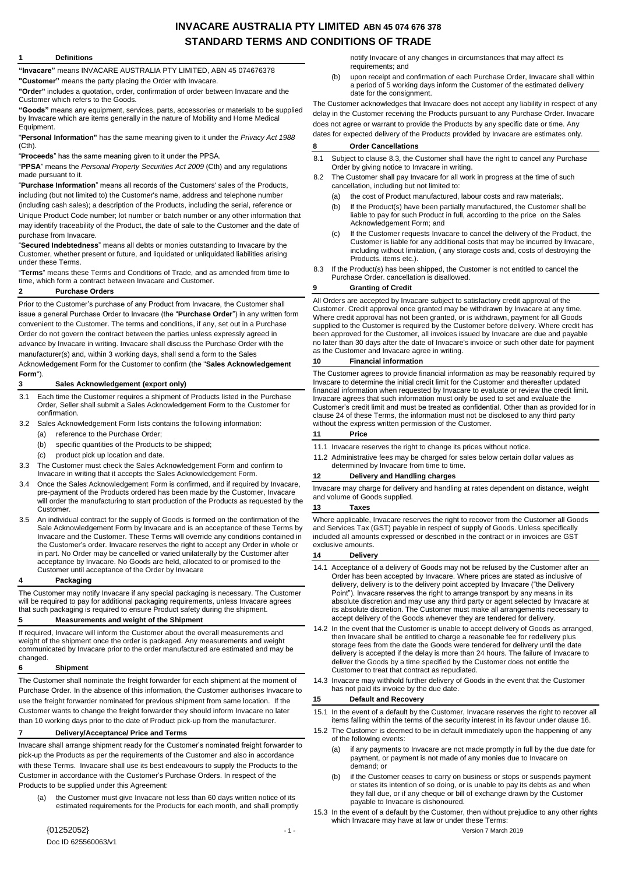# **INVACARE AUSTRALIA PTY LIMITED ABN 45 074 676 378 STANDARD TERMS AND CONDITIONS OF TRADE**

#### **1 Definitions**

**"Invacare"** means INVACARE AUSTRALIA PTY LIMITED, ABN 45 074676378 **"Customer"** means the party placing the Order with Invacare.

**"Order"** includes a quotation, order, confirmation of order between Invacare and the Customer which refers to the Goods.

**"Goods"** means any equipment, services, parts, accessories or materials to be supplied by Invacare which are items generally in the nature of Mobility and Home Medical Equipment.

"**Personal Information"** has the same meaning given to it under the *Privacy Act 1988*  (Cth).

"**Proceeds**" has the same meaning given to it under the PPSA.

"**PPSA**" means the *Personal Property Securities Act 2009* (Cth) and any regulations made pursuant to it.

"**Purchase Information**" means all records of the Customers' sales of the Products, including (but not limited to) the Customer's name, address and telephone number (including cash sales); a description of the Products, including the serial, reference or Unique Product Code number; lot number or batch number or any other information that may identify traceability of the Product, the date of sale to the Customer and the date of purchase from Invacare.

"**Secured Indebtedness**" means all debts or monies outstanding to Invacare by the Customer, whether present or future, and liquidated or unliquidated liabilities arising under these Terms.

"**Terms**" means these Terms and Conditions of Trade, and as amended from time to time, which form a contract between Invacare and Customer.

### <span id="page-0-1"></span>**2 Purchase Orders**

Prior to the Customer's purchase of any Product from Invacare, the Customer shall issue a general Purchase Order to Invacare (the "**Purchase Order**") in any written form convenient to the Customer. The terms and conditions, if any, set out in a Purchase Order do not govern the contract between the parties unless expressly agreed in advance by Invacare in writing. Invacare shall discuss the Purchase Order with the manufacturer(s) and, within 3 working days, shall send a form to the Sales

Acknowledgement Form for the Customer to confirm (the "**Sales Acknowledgement Form**").

### **3 Sales Acknowledgement (export only)**

- 3.1 Each time the Customer requires a shipment of Products listed in the Purchase Order, Seller shall submit a Sales Acknowledgement Form to the Customer for confirmation.
- 3.2 Sales Acknowledgement Form lists contains the following information:
	- (a) reference to the Purchase Order;
	- (b) specific quantities of the Products to be shipped;
	- (c) product pick up location and date.
- 3.3 The Customer must check the Sales Acknowledgement Form and confirm to Invacare in writing that it accepts the Sales Acknowledgement Form.
- 3.4 Once the Sales Acknowledgement Form is confirmed, and if required by Invacare, pre-payment of the Products ordered has been made by the Customer, Invacare will order the manufacturing to start production of the Products as requested by the Customer.
- 3.5 An individual contract for the supply of Goods is formed on the confirmation of the Sale Acknowledgement Form by Invacare and is an acceptance of these Terms by Invacare and the Customer. These Terms will override any conditions contained in the Customer's order. Invacare reserves the right to accept any Order in whole or in part. No Order may be cancelled or varied unilaterally by the Customer after acceptance by Invacare. No Goods are held, allocated to or promised to the Customer until acceptance of the Order by Invacare

#### **4 Packaging**

The Customer may notify Invacare if any special packaging is necessary. The Customer will be required to pay for additional packaging requirements, unless Invacare agrees that such packaging is required to ensure Product safety during the shipment.

# **5 Measurements and weight of the Shipment**

If required, Invacare will inform the Customer about the overall measurements and weight of the shipment once the order is packaged. Any measurements and weight communicated by Invacare prior to the order manufactured are estimated and may be changed.

#### **6 Shipment**

The Customer shall nominate the freight forwarder for each shipment at the moment of Purchase Order. In the absence of this information, the Customer authorises Invacare to use the freight forwarder nominated for previous shipment from same location. If the Customer wants to change the freight forwarder they should inform Invacare no later than 10 working days prior to the date of Product pick-up from the manufacturer.

### **7 Delivery/Acceptance/ Price and Terms**

Invacare shall arrange shipment ready for the Customer's nominated freight forwarder to pick-up the Products as per the requirements of the Customer and also in accordance with these Terms. Invacare shall use its best endeavours to supply the Products to the Customer in accordance with the Customer's Purchase Orders. In respect of the Products to be supplied under this Agreement:

the Customer must give Invacare not less than 60 days written notice of its estimated requirements for the Products for each month, and shall promptly

notify Invacare of any changes in circumstances that may affect its requirements; and

(b) upon receipt and confirmation of each Purchase Order, Invacare shall within a period of 5 working days inform the Customer of the estimated delivery date for the consignment.

The Customer acknowledges that Invacare does not accept any liability in respect of any delay in the Customer receiving the Products pursuant to any Purchase Order. Invacare does not agree or warrant to provide the Products by any specific date or time. Any dates for expected delivery of the Products provided by Invacare are estimates only.

### **8 Order Cancellations**

- 8.1 Subject to claus[e 8.3,](#page-0-0) the Customer shall have the right to cancel any Purchase Order by giving notice to Invacare in writing.
- 8.2 The Customer shall pay Invacare for all work in progress at the time of such cancellation, including but not limited to:
	- (a) the cost of Product manufactured, labour costs and raw materials;
	- (b) If the Product(s) have been partially manufactured, the Customer shall be liable to pay for such Product in full, according to the price on the Sales Acknowledgement Form; and
	- (c) If the Customer requests Invacare to cancel the delivery of the Product, the Customer is liable for any additional costs that may be incurred by Invacare, including without limitation, ( any storage costs and, costs of destroying the Products. items etc.).
- <span id="page-0-0"></span>8.3 If the Product(s) has been shipped, the Customer is not entitled to cancel the Purchase Order. cancellation is disallowed.

### **9 Granting of Credit**

All Orders are accepted by Invacare subject to satisfactory credit approval of the Customer. Credit approval once granted may be withdrawn by Invacare at any time. Where credit approval has not been granted, or is withdrawn, payment for all Goods supplied to the Customer is required by the Customer before delivery. Where credit has been approved for the Customer, all invoices issued by Invacare are due and payable no later than 30 days after the date of Invacare's invoice or such other date for payment as the Customer and Invacare agree in writing.

### **10 Financial information**

The Customer agrees to provide financial information as may be reasonably required by Invacare to determine the initial credit limit for the Customer and thereafter updated financial information when requested by Invacare to evaluate or review the credit limit. Invacare agrees that such information must only be used to set and evaluate the Customer's credit limit and must be treated as confidential. Other than as provided for in claus[e 24](#page-2-0) of these Terms, the information must not be disclosed to any third party without the express written permission of the Customer.

#### **11 Price**

- 11.1 Invacare reserves the right to change its prices without notice.
- 11.2 Administrative fees may be charged for sales below certain dollar values as determined by Invacare from time to time.

#### **12 Delivery and Handling charges**

Invacare may charge for delivery and handling at rates dependent on distance, weight and volume of Goods supplied.

### **13 Taxes**

Where applicable, Invacare reserves the right to recover from the Customer all Goods and Services Tax (GST) payable in respect of supply of Goods. Unless specifically included all amounts expressed or described in the contract or in invoices are GST exclusive amounts.

#### **14 Delivery**

- 14.1 Acceptance of a delivery of Goods may not be refused by the Customer after an Order has been accepted by Invacare. Where prices are stated as inclusive of delivery, delivery is to the delivery point accepted by Invacare ("the Delivery Point"). Invacare reserves the right to arrange transport by any means in its absolute discretion and may use any third party or agent selected by Invacare at its absolute discretion. The Customer must make all arrangements necessary to accept delivery of the Goods whenever they are tendered for delivery.
- 14.2 In the event that the Customer is unable to accept delivery of Goods as arranged, then Invacare shall be entitled to charge a reasonable fee for redelivery plus storage fees from the date the Goods were tendered for delivery until the date delivery is accepted if the delay is more than 24 hours. The failure of Invacare to deliver the Goods by a time specified by the Customer does not entitle the Customer to treat that contract as repudiated.
- 14.3 Invacare may withhold further delivery of Goods in the event that the Customer has not paid its invoice by the due date.

### **15 Default and Recovery**

- 15.1 In the event of a default by the Customer, Invacare reserves the right to recover all items falling within the terms of the security interest in its favour under claus[e 16.](#page-1-0)
- 15.2 The Customer is deemed to be in default immediately upon the happening of any of the following events:
	- (a) if any payments to Invacare are not made promptly in full by the due date for payment, or payment is not made of any monies due to Invacare on demand; or
	- (b) if the Customer ceases to carry on business or stops or suspends payment or states its intention of so doing, or is unable to pay its debts as and when they fall due, or if any cheque or bill of exchange drawn by the Customer payable to Invacare is dishonoured.
- 15.3 In the event of a default by the Customer, then without prejudice to any other rights which Invacare may have at law or under these Terms: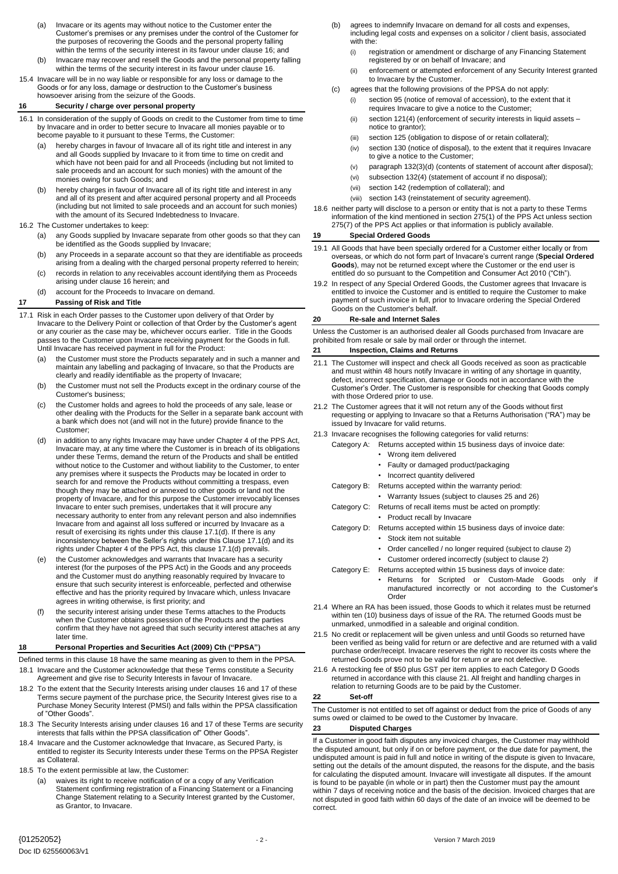- (a) Invacare or its agents may without notice to the Customer enter the Customer's premises or any premises under the control of the Customer for the purposes of recovering the Goods and the personal property falling within the terms of the security interest in its favour under claus[e 16;](#page-1-0) and
- (b) Invacare may recover and resell the Goods and the personal property falling within the terms of the security interest in its favour under claus[e 16.](#page-1-0)
- 15.4 Invacare will be in no way liable or responsible for any loss or damage to the Goods or for any loss, damage or destruction to the Customer's business howsoever arising from the seizure of the Goods.

# <span id="page-1-0"></span>**16 Security / charge over personal property**

- 16.1 In consideration of the supply of Goods on credit to the Customer from time to time by Invacare and in order to better secure to Invacare all monies payable or to become payable to it pursuant to these Terms, the Customer:
	- (a) hereby charges in favour of Invacare all of its right title and interest in any and all Goods supplied by Invacare to it from time to time on credit and which have not been paid for and all Proceeds (including but not limited to sale proceeds and an account for such monies) with the amount of the monies owing for such Goods; and
	- (b) hereby charges in favour of Invacare all of its right title and interest in any and all of its present and after acquired personal property and all Proceeds (including but not limited to sale proceeds and an account for such monies) with the amount of its Secured Indebtedness to Invacare.
- 16.2 The Customer undertakes to keep:
	- (a) any Goods supplied by Invacare separate from other goods so that they can be identified as the Goods supplied by Invacare;
	- (b) any Proceeds in a separate account so that they are identifiable as proceeds arising from a dealing with the charged personal property referred to herein;
	- (c) records in relation to any receivables account identifying them as Proceeds arising under claus[e 16](#page-1-0) herein; and
	- (d) account for the Proceeds to Invacare on demand.

# <span id="page-1-3"></span>**17 Passing of Risk and Title**

- <span id="page-1-1"></span>17.1 Risk in each Order passes to the Customer upon delivery of that Order by Invacare to the Delivery Point or collection of that Order by the Customer's agent or any courier as the case may be, whichever occurs earlier. Title in the Goods passes to the Customer upon Invacare receiving payment for the Goods in full. Until Invacare has received payment in full for the Product:
	- (a) the Customer must store the Products separately and in such a manner and maintain any labelling and packaging of Invacare, so that the Products are clearly and readily identifiable as the property of Invacare;
	- (b) the Customer must not sell the Products except in the ordinary course of the Customer's business;
	- (c) the Customer holds and agrees to hold the proceeds of any sale, lease or other dealing with the Products for the Seller in a separate bank account with a bank which does not (and will not in the future) provide finance to the Customer;
	- (d) in addition to any rights Invacare may have under Chapter 4 of the PPS Act, Invacare may, at any time where the Customer is in breach of its obligations under these Terms, demand the return of the Products and shall be entitled without notice to the Customer and without liability to the Customer, to enter any premises where it suspects the Products may be located in order to search for and remove the Products without committing a trespass, even though they may be attached or annexed to other goods or land not the property of Invacare, and for this purpose the Customer irrevocably licenses Invacare to enter such premises, undertakes that it will procure any necessary authority to enter from any relevant person and also indemnifies Invacare from and against all loss suffered or incurred by Invacare as a result of exercising its rights under this claus[e 17.1\(d\).](#page-1-1) If there is any inconsistency between the Seller's rights under this Claus[e 17.1\(d\)](#page-1-1) and its rights under Chapter 4 of the PPS Act, this clause [17.1\(d\)](#page-1-1) prevails.
	- (e) the Customer acknowledges and warrants that Invacare has a security interest (for the purposes of the PPS Act) in the Goods and any proceeds and the Customer must do anything reasonably required by Invacare to ensure that such security interest is enforceable, perfected and otherwise effective and has the priority required by Invacare which, unless Invacare agrees in writing otherwise, is first priority; and
	- (f) the security interest arising under these Terms attaches to the Products when the Customer obtains possession of the Products and the parties confirm that they have not agreed that such security interest attaches at any later time.

# <span id="page-1-2"></span>**18 Personal Properties and Securities Act (2009) Cth ("PPSA")**

- Defined terms in this clause [18](#page-1-2) have the same meaning as given to them in the PPSA. 18.1 Invacare and the Customer acknowledge that these Terms constitute a Security Agreement and give rise to Security Interests in favour of Invacare.
- 18.2 To the extent that the Security Interests arising under clauses [16](#page-1-0) an[d 17](#page-1-3) of these Terms secure payment of the purchase price, the Security Interest gives rise to a Purchase Money Security Interest (PMSI) and falls within the PPSA classification of "Other Goods".
- 18.3 The Security Interests arising under clause[s 16](#page-1-0) an[d 17](#page-1-3) of these Terms are security interests that falls within the PPSA classification of" Other Goods".
- 18.4 Invacare and the Customer acknowledge that Invacare, as Secured Party, is entitled to register its Security Interests under these Terms on the PPSA Register as Collateral.
- 18.5 To the extent permissible at law, the Customer:
	- (a) waives its right to receive notification of or a copy of any Verification Statement confirming registration of a Financing Statement or a Financing Change Statement relating to a Security Interest granted by the Customer, as Grantor, to Invacare.
- (b) agrees to indemnify Invacare on demand for all costs and expenses, including legal costs and expenses on a solicitor / client basis, associated with the
	- (i) registration or amendment or discharge of any Financing Statement registered by or on behalf of Invacare; and
	- (ii) enforcement or attempted enforcement of any Security Interest granted to Invacare by the Customer.
- (c) agrees that the following provisions of the PPSA do not apply:
	- (i) section 95 (notice of removal of accession), to the extent that it requires Invacare to give a notice to the Customer;
	- (ii) section 121(4) (enforcement of security interests in liquid assets notice to grantor);
	- (iii) section 125 (obligation to dispose of or retain collateral);
	- (iv) section 130 (notice of disposal), to the extent that it requires Invacare to give a notice to the Customer;
	- (v) paragraph 132(3)(d) (contents of statement of account after disposal);
	- (vi) subsection 132(4) (statement of account if no disposal);
	- (vii) section 142 (redemption of collateral); and
	- (viii) section 143 (reinstatement of security agreement).
- 18.6 neither party will disclose to a person or entity that is not a party to these Terms information of the kind mentioned in section 275(1) of the PPS Act unless section 275(7) of the PPS Act applies or that information is publicly available.

### **19 Special Ordered Goods**

- 19.1 All Goods that have been specially ordered for a Customer either locally or from overseas, or which do not form part of Invacare's current range (**Special Ordered Goods**), may not be returned except where the Customer or the end user is entitled do so pursuant to the Competition and Consumer Act 2010 ("Cth").
- 19.2 In respect of any Special Ordered Goods, the Customer agrees that Invacare is entitled to invoice the Customer and is entitled to require the Customer to make payment of such invoice in full, prior to Invacare ordering the Special Ordered Goods on the Customer's behalf.

# **20 Re-sale and Internet Sales**

Unless the Customer is an authorised dealer all Goods purchased from Invacare are prohibited from resale or sale by mail order or through the internet.

# <span id="page-1-4"></span>**21 Inspection, Claims and Returns**

- 21.1 The Customer will inspect and check all Goods received as soon as practicable and must within 48 hours notify Invacare in writing of any shortage in quantity, defect, incorrect specification, damage or Goods not in accordance with the Customer's Order. The Customer is responsible for checking that Goods comply with those Ordered prior to use.
- 21.2 The Customer agrees that it will not return any of the Goods without first requesting or applying to Invacare so that a Returns Authorisation ("RA") may be issued by Invacare for valid returns.
- 21.3 Invacare recognises the following categories for valid returns:
	- Category A: Returns accepted within 15 business days of invoice date:
		- Wrong item delivered
		- Faulty or damaged product/packaging
		- Incorrect quantity delivered
	- Category B: Returns accepted within the warranty period:
	- Warranty Issues (subject to clauses [25](#page-2-1) an[d 26\)](#page-2-2)
	- Category C: Returns of recall items must be acted on promptly:
		- Product recall by Invacare
		- Category D: Returns accepted within 15 business days of invoice date:
			- Stock item not suitable
			- Order cancelled / no longer required (subject to claus[e 2\)](#page-0-1)
			- Customer ordered incorrectly (subject to claus[e 2\)](#page-0-1)
		- Category E: Returns accepted within 15 business days of invoice date: Returns for Scripted or Custom-Made Goods only if manufactured incorrectly or not according to the Customer's Order
- 21.4 Where an RA has been issued, those Goods to which it relates must be returned within ten (10) business days of issue of the RA. The returned Goods must be unmarked, unmodified in a saleable and original condition.
- 21.5 No credit or replacement will be given unless and until Goods so returned have been verified as being valid for return or are defective and are returned with a valid purchase order/receipt. Invacare reserves the right to recover its costs where the returned Goods prove not to be valid for return or are not defective.
- 21.6 A restocking fee of \$50 plus GST per item applies to each Category D Goods returned in accordance with this claus[e 21.](#page-1-4) All freight and handling charges in relation to returning Goods are to be paid by the Customer.

### **22 Set-off**

The Customer is not entitled to set off against or deduct from the price of Goods of any sums owed or claimed to be owed to the Customer by Invacare.

# **23 Disputed Charges**

If a Customer in good faith disputes any invoiced charges, the Customer may withhold the disputed amount, but only if on or before payment, or the due date for payment, the undisputed amount is paid in full and notice in writing of the dispute is given to Invacare, setting out the details of the amount disputed, the reasons for the dispute, and the basis for calculating the disputed amount. Invacare will investigate all disputes. If the amount is found to be payable (in whole or in part) then the Customer must pay the amount within 7 days of receiving notice and the basis of the decision. Invoiced charges that are not disputed in good faith within 60 days of the date of an invoice will be deemed to be correct.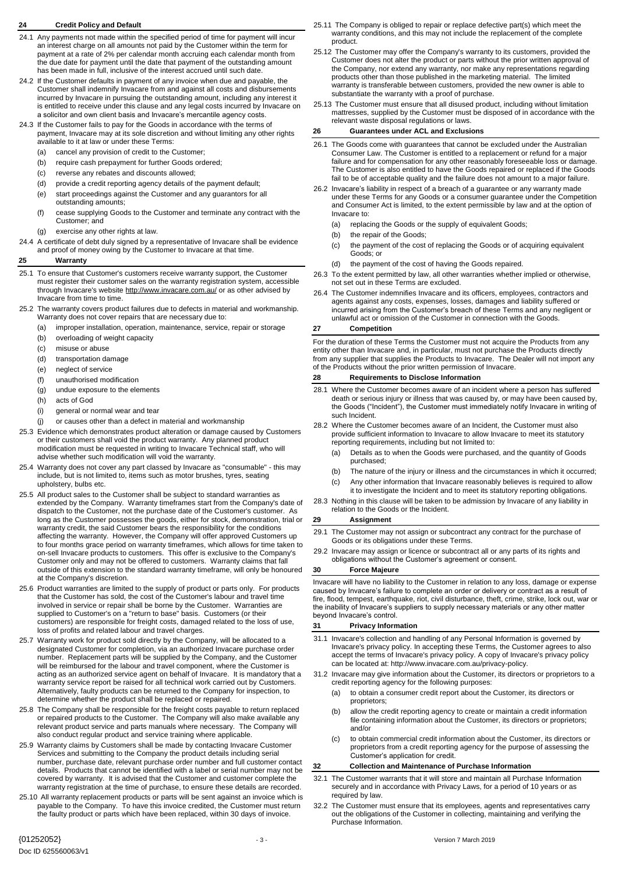# <span id="page-2-0"></span>**24 Credit Policy and Default**

- 24.1 Any payments not made within the specified period of time for payment will incur an interest charge on all amounts not paid by the Customer within the term for payment at a rate of 2% per calendar month accruing each calendar month from the due date for payment until the date that payment of the outstanding amount has been made in full, inclusive of the interest accrued until such date.
- 24.2 If the Customer defaults in payment of any invoice when due and payable, the Customer shall indemnify Invacare from and against all costs and disbursements incurred by Invacare in pursuing the outstanding amount, including any interest it is entitled to receive under this clause and any legal costs incurred by Invacare on a solicitor and own client basis and Invacare's mercantile agency costs.
- 24.3 If the Customer fails to pay for the Goods in accordance with the terms of payment, Invacare may at its sole discretion and without limiting any other rights available to it at law or under these Terms:
	- (a) cancel any provision of credit to the Customer;
	- (b) require cash prepayment for further Goods ordered;
	- (c) reverse any rebates and discounts allowed;
	- (d) provide a credit reporting agency details of the payment default;
	- (e) start proceedings against the Customer and any guarantors for all outstanding amounts;
	- (f) cease supplying Goods to the Customer and terminate any contract with the Customer; and
	- (g) exercise any other rights at law.
- 24.4 A certificate of debt duly signed by a representative of Invacare shall be evidence and proof of money owing by the Customer to Invacare at that time.

## <span id="page-2-1"></span>**25 Warranty**

- 25.1 To ensure that Customer's customers receive warranty support, the Customer must register their customer sales on the warranty registration system, accessible through Invacare's website <http://www.invacare.com.au/> or as other advised by Invacare from time to time.
- 25.2 The warranty covers product failures due to defects in material and workmanship. Warranty does not cover repairs that are necessary due to:
	- (a) improper installation, operation, maintenance, service, repair or storage
	- (b) overloading of weight capacity
	- (c) misuse or abuse
	- (d) transportation damage
	- (e) neglect of service
	- (f) unauthorised modification
	- (g) undue exposure to the elements
	- (h) acts of God
	- (i) general or normal wear and tear
	- (j) or causes other than a defect in material and workmanship
- 25.3 Evidence which demonstrates product alteration or damage caused by Customers or their customers shall void the product warranty. Any planned product modification must be requested in writing to Invacare Technical staff, who will advise whether such modification will void the warranty.
- 25.4 Warranty does not cover any part classed by Invacare as "consumable" this may include, but is not limited to, items such as motor brushes, tyres, seating upholstery, bulbs etc.
- 25.5 All product sales to the Customer shall be subject to standard warranties as extended by the Company. Warranty timeframes start from the Company's date of dispatch to the Customer, not the purchase date of the Customer's customer. As long as the Customer possesses the goods, either for stock, demonstration, trial or warranty credit, the said Customer bears the responsibility for the conditions affecting the warranty. However, the Company will offer approved Customers up to four months grace period on warranty timeframes, which allows for time taken to on-sell Invacare products to customers. This offer is exclusive to the Company's Customer only and may not be offered to customers. Warranty claims that fall outside of this extension to the standard warranty timeframe, will only be honoured at the Company's discretion.
- 25.6 Product warranties are limited to the supply of product or parts only. For products that the Customer has sold, the cost of the Customer's labour and travel time involved in service or repair shall be borne by the Customer. Warranties are supplied to Customer's on a "return to base" basis. Customers (or their customers) are responsible for freight costs, damaged related to the loss of use, loss of profits and related labour and travel charges.
- 25.7 Warranty work for product sold directly by the Company, will be allocated to a designated Customer for completion, via an authorized Invacare purchase order number. Replacement parts will be supplied by the Company, and the Customer will be reimbursed for the labour and travel component, where the Customer is acting as an authorized service agent on behalf of Invacare. It is mandatory that a warranty service report be raised for all technical work carried out by Customers. Alternatively, faulty products can be returned to the Company for inspection, to determine whether the product shall be replaced or repaired.
- 25.8 The Company shall be responsible for the freight costs payable to return replaced or repaired products to the Customer. The Company will also make available any relevant product service and parts manuals where necessary. The Company will also conduct regular product and service training where applicable.
- 25.9 Warranty claims by Customers shall be made by contacting Invacare Customer Services and submitting to the Company the product details including serial number, purchase date, relevant purchase order number and full customer contact details. Products that cannot be identified with a label or serial number may not be covered by warranty. It is advised that the Customer and customer complete the warranty registration at the time of purchase, to ensure these details are recorded.
- 25.10 All warranty replacement products or parts will be sent against an invoice which is payable to the Company. To have this invoice credited, the Customer must return the faulty product or parts which have been replaced, within 30 days of invoice.
- 25.12 The Customer may offer the Company's warranty to its customers, provided the Customer does not alter the product or parts without the prior written approval of the Company, nor extend any warranty, nor make any representations regarding products other than those published in the marketing material. The limited warranty is transferable between customers, provided the new owner is able to substantiate the warranty with a proof of purchase.
- 25.13 The Customer must ensure that all disused product, including without limitation mattresses, supplied by the Customer must be disposed of in accordance with the relevant waste disposal regulations or laws.

# <span id="page-2-2"></span>**26 Guarantees under ACL and Exclusions**

- 26.1 The Goods come with guarantees that cannot be excluded under the Australian Consumer Law. The Customer is entitled to a replacement or refund for a major failure and for compensation for any other reasonably foreseeable loss or damage. The Customer is also entitled to have the Goods repaired or replaced if the Goods fail to be of acceptable quality and the failure does not amount to a major failure.
- 26.2 Invacare's liability in respect of a breach of a guarantee or any warranty made under these Terms for any Goods or a consumer guarantee under the Competition and Consumer Act is limited, to the extent permissible by law and at the option of Invacare to:
	- (a) replacing the Goods or the supply of equivalent Goods;
	- (b) the repair of the Goods;
	- (c) the payment of the cost of replacing the Goods or of acquiring equivalent Goods; or
	- (d) the payment of the cost of having the Goods repaired.
- 26.3 To the extent permitted by law, all other warranties whether implied or otherwise, not set out in these Terms are excluded.
- 26.4 The Customer indemnifies Invacare and its officers, employees, contractors and agents against any costs, expenses, losses, damages and liability suffered or incurred arising from the Customer's breach of these Terms and any negligent or unlawful act or omission of the Customer in connection with the Goods.

#### **27 Competition**

For the duration of these Terms the Customer must not acquire the Products from any entity other than Invacare and, in particular, must not purchase the Products directly from any supplier that supplies the Products to Invacare. The Dealer will not import any of the Products without the prior written permission of Invacare.

#### **28 Requirements to Disclose Information**

- 28.1 Where the Customer becomes aware of an incident where a person has suffered death or serious injury or illness that was caused by, or may have been caused by, the Goods ("Incident"), the Customer must immediately notify Invacare in writing of such Incident.
- 28.2 Where the Customer becomes aware of an Incident, the Customer must also provide sufficient information to Invacare to allow Invacare to meet its statutory reporting requirements, including but not limited to:
	- (a) Details as to when the Goods were purchased, and the quantity of Goods purchased;
	- (b) The nature of the injury or illness and the circumstances in which it occurred; (c) Any other information that Invacare reasonably believes is required to allow
- it to investigate the Incident and to meet its statutory reporting obligations. 28.3 Nothing in this clause will be taken to be admission by Invacare of any liability in
- relation to the Goods or the Incident.

# **29 Assignment**

- 29.1 The Customer may not assign or subcontract any contract for the purchase of Goods or its obligations under these Terms.
- 29.2 Invacare may assign or licence or subcontract all or any parts of its rights and obligations without the Customer's agreement or consent.

#### **30 Force Majeure**

Invacare will have no liability to the Customer in relation to any loss, damage or expense caused by Invacare's failure to complete an order or delivery or contract as a result of fire, flood, tempest, earthquake, riot, civil disturbance, theft, crime, strike, lock out, war or the inability of Invacare's suppliers to supply necessary materials or any other matter beyond Invacare's control.

### **31 Privacy Information**

- 31.1 Invacare's collection and handling of any Personal Information is governed by Invacare's privacy policy. In accepting these Terms, the Customer agrees to also accept the terms of Invacare's privacy policy. A copy of Invacare's privacy policy can be located at: [http://www.invacare.com.au/privacy-policy.](http://www.invacare.com.au/privacy-policy)
- 31.2 Invacare may give information about the Customer, its directors or proprietors to a credit reporting agency for the following purposes:
	- (a) to obtain a consumer credit report about the Customer, its directors or proprietors;
	- (b) allow the credit reporting agency to create or maintain a credit information file containing information about the Customer, its directors or proprietors; and/or
	- (c) to obtain commercial credit information about the Customer, its directors or proprietors from a credit reporting agency for the purpose of assessing the Customer's application for credit.

### **32 Collection and Maintenance of Purchase Information**

- 32.1 The Customer warrants that it will store and maintain all Purchase Information securely and in accordance with Privacy Laws, for a period of 10 years or as required by law.
- 32.2 The Customer must ensure that its employees, agents and representatives carry out the obligations of the Customer in collecting, maintaining and verifying the Purchase Information.